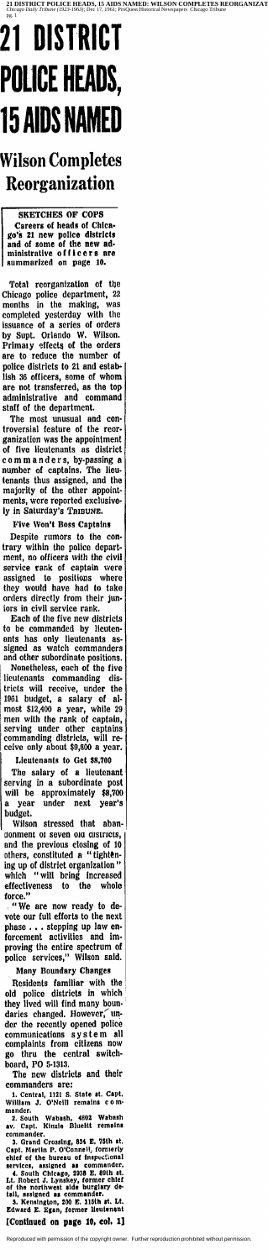# **21 DISTRICT POLICE HEADS, 15 AIDS NAME**

### **Wilson Completes Reorganization**

SKETCHES OF COPS Careers of heads of Chica· go's 21 new police districts and of some of the new ad· mlnlslratlve o f f l c e r s are summarized on page 10.

Total reorganization of the<br>bicago police department, 22 Chicago police department, 22 months in the making, was completed yesterday with the issuance of a series of orders by Supt. Orlando W. Wilson. Primaty effects of the orders are to reduce the number of police districts to 21 and establish 36 officers, some of whom are not transferred, as the top administrative and command staff of the department.

The most unusual and con· troversial feature of the reor· ganization was the appointment of five lieutenants as district commanders, by-passing a<br>number of captains. The lieunumber of captains. The lieu. tenants thus assigned, and the majority of the other appoint· ments, were reported exclusively in Saturday's TRIBUNE,

"We are now ready to de vote our full efforts to the next phase . . . stepping up law enforcement activities and Im· proving the entire spectrum of

Five Won't Boss Captains

Despite rumors to the con· trary within the police depart· ment, no officers with the civil service rank of captain were assigned to positions where they would have had to take orders directly from their jun· iors in civil service rank.

Residents familiar with the  $\vert$ old police districts in which they lived will find many boun-<br>daries changed. However,  $\mu$ der the recently opened police communications system all complaints from citizens now go thru the central switch· board, PO 5-1313.

t. Central, 1121 S. State It. Capt. William J, O'Neill remains com· William J.<br>mander.

2. South Wabash, 4802 Wabash<br>av. Capt. Kinzle Blueltt remains

commander.<br>
3. Grand Crossing, 834 E, 75th st,<br>Capt. Martin P. O'Connell, formerly<br>chief of the bureau of inspectional<br>services, assigned as commander.

4. South Chicago, 2938 E. 89th at.<br>Lt. Robert J. Lynskey, former chief<br>of the northwest aide burglary de-<br>tail, assigned as commander.

5. Kensington, 200 E. 115th st. Lt.<br>Edward E. Egan, former lieutenant

Each of the five new districts to be commanded by lieuten· ants has only lieutenants assigned as watch commanders

and other subordinate positions. In Nonetheless, each of the five lieutenants commanding districts will receive, under the 1961 budget, a salary of al· most \$12,400 a year, while 29 men with the rank of captain,  $\frac{1}{6}$ serving under other captains commanding districts, will receive only about \$9,800 a year.

Lieutenants to Get \$8,700

The salary of a lieutenant serving in a subordinate post will be approximately \$8,700 a year under next year's budget.

Wilson stressed that abandonment of seven old districts, and the previous closing of 10 others, constituted a "tightening up of district organization " which " will bring increased effectiveness to the whole force."

police services," Wilson said.

Many Boundary Changes

The new districts and their commanders are:

#### [Continued on page 10, col, 1)